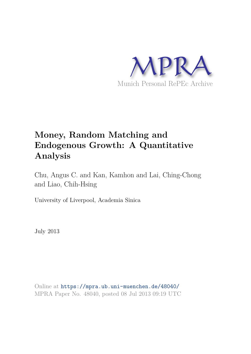

# **Money, Random Matching and Endogenous Growth: A Quantitative Analysis**

Chu, Angus C. and Kan, Kamhon and Lai, Ching-Chong and Liao, Chih-Hsing

University of Liverpool, Academia Sinica

July 2013

Online at https://mpra.ub.uni-muenchen.de/48040/ MPRA Paper No. 48040, posted 08 Jul 2013 09:19 UTC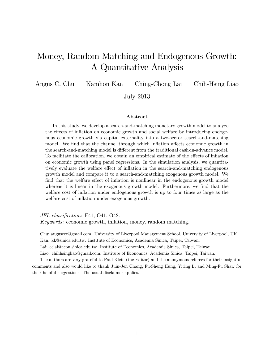# Money, Random Matching and Endogenous Growth: A Quantitative Analysis

Angus C. Chu Kamhon Kan Ching-Chong Lai Chih-Hsing Liao

July 2013

### Abstract

In this study, we develop a search-and-matching monetary growth model to analyze the effects of inflation on economic growth and social welfare by introducing endogenous economic growth via capital externality into a two-sector search-and-matching model. We find that the channel through which inflation affects economic growth in the search-and-matching model is different from the traditional cash-in-advance model. To facilitate the calibration, we obtain an empirical estimate of the effects of inflation on economic growth using panel regressions. In the simulation analysis, we quantitatively evaluate the welfare effect of inflation in the search-and-matching endogenous growth model and compare it to a search-and-matching exogenous growth model. We find that the welfare effect of inflation is nonlinear in the endogenous growth model whereas it is linear in the exogenous growth model. Furthermore, we find that the welfare cost of inflation under endogenous growth is up to four times as large as the welfare cost of inflation under exogenous growth.

JEL classification: E41, O41, O42. Keywords: economic growth, inflation, money, random matching.

Chu: angusccc@gmail.com. University of Liverpool Management School, University of Liverpool, UK. Kan: kk@sinica.edu.tw. Institute of Economics, Academia Sinica, Taipei, Taiwan.

Lai: cclai@econ.sinica.edu.tw. Institute of Economics, Academia Sinica, Taipei, Taiwan.

Liao: chihhsingliao@gmail.com. Institute of Economics, Academia Sinica, Taipei, Taiwan.

The authors are very grateful to Paul Klein (the Editor) and the anonymous referees for their insightful comments and also would like to thank Juin-Jen Chang, Fu-Sheng Hung, Yiting Li and Ming-Fu Shaw for their helpful suggestions. The usual disclaimer applies.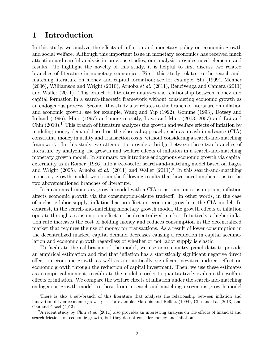### 1 Introduction

In this study, we analyze the effects of inflation and monetary policy on economic growth and social welfare. Although this important issue in monetary economics has received much attention and careful analysis in previous studies, our analysis provides novel elements and results. To highlight the novelty of this study, it is helpful to first discuss two related branches of literature in monetary economics. First, this study relates to the search-andmatching literature on money and capital formation; see for example, Shi (1999), Menner (2006), Williamson and Wright (2010), Aruoba et al. (2011), Bencivenga and Camera (2011) and Waller (2011). This branch of literature analyzes the relationship between money and capital formation in a search-theoretic framework without considering economic growth as an endogenous process. Second, this study also relates to the branch of literature on ináation and economic growth; see for example, Wang and Yip (1992), Gomme (1993), Dotsey and Ireland (1996), Mino (1997) and more recently, Itaya and Mino (2003, 2007) and Lai and Chin  $(2010).<sup>1</sup>$  This branch of literature analyzes the growth and welfare effects of inflation by modeling money demand based on the classical approach, such as a cash-in-advance (CIA) constraint, money in utility and transaction costs, without considering a search-and-matching framework. In this study, we attempt to provide a bridge between these two branches of literature by analyzing the growth and welfare effects of inflation in a search-and-matching monetary growth model. In summary, we introduce endogenous economic growth via capital externality as in Romer (1986) into a two-sector search-and-matching model based on Lagos and Wright (2005), Aruoba et al. (2011) and Waller (2011).<sup>2</sup> In this search-and-matching monetary growth model, we obtain the following results that have novel implications to the two abovementioned branches of literature.

In a canonical monetary growth model with a CIA constraint on consumption, ináation affects economic growth via the consumption-leisure tradeoff. In other words, in the case of inelastic labor supply, inflation has no effect on economic growth in the CIA model. In contrast, in the search-and-matching monetary growth model, the growth effects of inflation operate through a consumption effect in the decentralized market. Intuitively, a higher inflation rate increases the cost of holding money and reduces consumption in the decentralized market that requires the use of money for transactions. As a result of lower consumption in the decentralized market, capital demand decreases causing a reduction in capital accumulation and economic growth regardless of whether or not labor supply is elastic.

To facilitate the calibration of the model, we use cross-country panel data to provide an empirical estimation and find that inflation has a statistically significant negative direct effect on economic growth as well as a statistically significant negative indirect effect on economic growth through the reduction of capital investment. Then, we use these estimates as an empirical moment to calibrate the model in order to quantitatively evaluate the welfare effects of inflation. We compare the welfare effects of inflation under the search-and-matching endogenous growth model to those from a search-and-matching exogenous growth model

<sup>&</sup>lt;sup>1</sup>There is also a sub-branch of this literature that analyzes the relationship between inflation and innovation-driven economic growth; see for example, Marquis and Reffett (1994), Chu and Lai (2013) and Chu and Cozzi (2013).

<sup>&</sup>lt;sup>2</sup>A recent study by Chiu *et al.* (2011) also provides an interesting analysis on the effects of financial and search frictions on economic growth, but they do not consider money and ináation.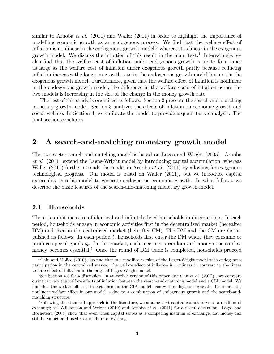similar to Aruoba *et al.* (2011) and Waller (2011) in order to highlight the importance of modelling economic growth as an endogenous process. We find that the welfare effect of inflation is nonlinear in the endogenous growth model,<sup>3</sup> whereas it is linear in the exogenous growth model. We discuss the intuition of this result in the main text.<sup>4</sup> Interestingly, we also find that the welfare cost of inflation under endogenous growth is up to four times as large as the welfare cost of ináation under exogenous growth partly because reducing inflation increases the long-run growth rate in the endogenous growth model but not in the exogenous growth model. Furthermore, given that the welfare effect of inflation is nonlinear in the endogenous growth model, the difference in the welfare costs of inflation across the two models is increasing in the size of the change in the money growth rate.

The rest of this study is organized as follows. Section 2 presents the search-and-matching monetary growth model. Section 3 analyzes the effects of inflation on economic growth and social welfare. In Section 4, we calibrate the model to provide a quantitative analysis. The final section concludes.

### 2 A search-and-matching monetary growth model

The two-sector search-and-matching model is based on Lagos and Wright (2005). Aruoba et al. (2011) extend the Lagos-Wright model by introducing capital accumulation, whereas Waller (2011) further extends the model in Aruoba *et al.* (2011) by allowing for exogenous technological progress. Our model is based on Waller (2011), but we introduce capital externality into his model to generate endogenous economic growth. In what follows, we describe the basic features of the search-and-matching monetary growth model.

### 2.1 Households

There is a unit measure of identical and infinitely-lived households in discrete time. In each period, households engage in economic activities Örst in the decentralized market (hereafter DM) and then in the centralized market (hereafter CM). The DM and the CM are distinguished as follows. In each period  $t$ , households first enter the DM where they consume or produce special goods  $q_t$ . In this market, each meeting is random and anonymous so that money becomes essential.<sup>5</sup> Once the round of DM trade is completed, households proceed

<sup>&</sup>lt;sup>3</sup>Chiu and Molico (2010) also find that in a modified version of the Lagos-Wright model with endogenous participation in the centralized market, the welfare effect of inflation is nonlinear in contrast to the linear welfare effect of inflation in the original Lagos-Wright model.

<sup>&</sup>lt;sup>4</sup>See Section 4.3 for a discussion. In an earlier version of this paper (see Chu *et al.* (2012)), we compare quantitatively the welfare effects of inflation between the search-and-matching model and a CIA model. We find that the welfare effect is in fact linear in the CIA model even with endogenous growth. Therefore, the nonlinear welfare effect in our model is due to a combination of endogenous growth and the search-andmatching structure.

<sup>&</sup>lt;sup>5</sup>Following the standard approach in the literature, we assume that capital cannot serve as a medium of exchange; see Williamson and Wright (2010) and Aruoba et al. (2011) for a useful discussion. Lagos and Rocheteau (2008) show that even when capital serves as a competing medium of exchange, flat money can still be valued and used as a medium of exchange.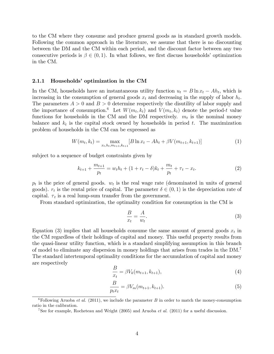to the CM where they consume and produce general goods as in standard growth models. Following the common approach in the literature, we assume that there is no discounting between the DM and the CM within each period, and the discount factor between any two consecutive periods is  $\beta \in (0,1)$ . In what follows, we first discuss households' optimization in the CM.

### 2.1.1 Households' optimization in the CM

In the CM, households have an instantaneous utility function  $u_t = B \ln x_t - Ah_t$ , which is increasing in the consumption of general goods  $x_t$  and decreasing in the supply of labor  $h_t$ . The parameters  $A > 0$  and  $B > 0$  determine respectively the disutility of labor supply and the importance of consumption.<sup>6</sup> Let  $W(m_t, k_t)$  and  $V(m_t, k_t)$  denote the period-t value functions for households in the CM and the DM respectively.  $m_t$  is the nominal money balance and  $k_t$  is the capital stock owned by households in period t. The maximization problem of households in the CM can be expressed as

$$
W(m_t, k_t) = \max_{x_t, h_t, m_{t+1}, k_{t+1}} [B \ln x_t - Ah_t + \beta V(m_{t+1}, k_{t+1})]
$$
(1)

subject to a sequence of budget constraints given by

$$
k_{t+1} + \frac{m_{t+1}}{p_t} = w_t h_t + (1 + r_t - \delta) k_t + \frac{m_t}{p_t} + \tau_t - x_t.
$$
 (2)

 $p_t$  is the price of general goods.  $w_t$  is the real wage rate (denominated in units of general goods).  $r_t$  is the rental price of capital. The parameter  $\delta \in (0,1)$  is the depreciation rate of capital.  $\tau_t$  is a real lump-sum transfer from the government.

From standard optimization, the optimality condition for consumption in the CM is

$$
\frac{B}{x_t} = \frac{A}{w_t}.\tag{3}
$$

Equation (3) implies that all households consume the same amount of general goods  $x_t$  in the CM regardless of their holdings of capital and money. This useful property results from the quasi-linear utility function, which is a standard simplifying assumption in this branch of model to eliminate any dispersion in money holdings that arises from trades in the DM.<sup>7</sup> The standard intertemporal optimality conditions for the accumulation of capital and money are respectively

$$
\frac{B}{x_t} = \beta V_k(m_{t+1}, k_{t+1}),
$$
\n(4)

$$
\frac{B}{p_t x_t} = \beta V_m(m_{t+1}, k_{t+1}).
$$
\n(5)

<sup>&</sup>lt;sup>6</sup>Following Aruoba *et al.* (2011), we include the parameter B in order to match the money-consumption ratio in the calibration.

<sup>&</sup>lt;sup>7</sup>See for example, Rocheteau and Wright (2005) and Aruoba *et al.* (2011) for a useful discussion.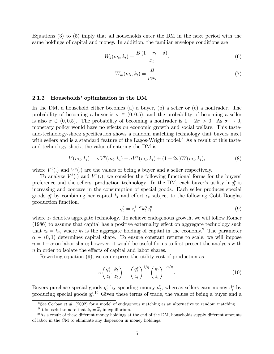Equations (3) to (5) imply that all households enter the DM in the next period with the same holdings of capital and money. In addition, the familiar envelope conditions are

$$
W_k(m_t, k_t) = \frac{B\left(1 + r_t - \delta\right)}{x_t},\tag{6}
$$

$$
W_m(m_t, k_t) = \frac{B}{p_t x_t}.\tag{7}
$$

### 2.1.2 Households' optimization in the DM

In the DM, a household either becomes (a) a buyer, (b) a seller or (c) a nontrader. The probability of becoming a buyer is  $\sigma \in (0, 0.5)$ , and the probability of becoming a seller is also  $\sigma \in (0, 0.5)$ . The probability of becoming a nontrader is  $1 - 2\sigma > 0$ . As  $\sigma \to 0$ , monetary policy would have no effects on economic growth and social welfare. This tasteand-technology-shock specification shows a random matching technology that buyers meet with sellers and is a standard feature of the Lagos-Wright model.<sup>8</sup> As a result of this tasteand-technology shock, the value of entering the DM is

$$
V(m_t, k_t) = \sigma V^b(m_t, k_t) + \sigma V^s(m_t, k_t) + (1 - 2\sigma)W(m_t, k_t),
$$
\n(8)

where  $V^b(.)$  and  $V^s(.)$  are the values of being a buyer and a seller respectively.

To analyze  $V^b(.)$  and  $V^s(.)$ , we consider the following functional forms for the buyers' preference and the sellers' production technology. In the DM, each buyer's utility  $\ln q_t^b$  is increasing and concave in the consumption of special goods. Each seller produces special goods  $q_t^s$  by combining her capital  $k_t$  and effort  $e_t$  subject to the following Cobb-Douglas production function.

$$
q_t^s = z_t^{1-\alpha} k_t^{\alpha} e_t^{\eta},\tag{9}
$$

where  $z_t$  denotes aggregate technology. To achieve endogenous growth, we will follow Romer  $(1986)$  to assume that capital has a positive externality effect on aggregate technology such that  $z_t = \overline{k}_t$ , where  $\overline{k}_t$  is the aggregate holding of capital in the economy.<sup>9</sup> The parameter  $\alpha \in (0, 1)$  determines capital share. To ensure constant returns to scale, we will impose  $\eta = 1 - \alpha$  on labor share; however, it would be useful for us to first present the analysis with  $\eta$  in order to isolate the effects of capital and labor shares.

Rewriting equation (9), we can express the utility cost of production as

$$
e\left(\frac{q_t^s}{z_t}, \frac{k_t}{z_t}\right) = \left(\frac{q_t^s}{z_t}\right)^{1/\eta} \left(\frac{k_t}{z_t}\right)^{-\alpha/\eta}.\tag{10}
$$

Buyers purchase special goods  $q_t^b$  by spending money  $d_t^b$ , whereas sellers earn money  $d_t^s$  by producing special goods  $q_t^s$ <sup>10</sup> Given these terms of trade, the values of being a buyer and a

<sup>&</sup>lt;sup>8</sup>See Corbae *et al.* (2002) for a model of endogenous matching as an alternative to random matching.

<sup>&</sup>lt;sup>9</sup>It is useful to note that  $k_t = \overline{k}_t$  in equilibrium.

 $10$ As a result of these different money holdings at the end of the DM, households supply different amounts of labor in the CM to eliminate any dispersion in money holdings.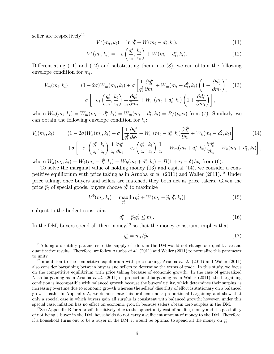seller are respectively<sup>11</sup>

$$
V^{b}(m_{t}, k_{t}) = \ln q_{t}^{b} + W(m_{t} - d_{t}^{b}, k_{t}), \qquad (11)
$$

$$
V^{s}(m_{t}, k_{t}) = -e\left(\frac{q_{t}^{s}}{z_{t}}, \frac{k_{t}}{z_{t}}\right) + W(m_{t} + d_{t}^{s}, k_{t}).
$$
\n(12)

Differentiating  $(11)$  and  $(12)$  and substituting them into  $(8)$ , we can obtain the following envelope condition for  $m_t$ .

$$
V_m(m_t, k_t) = (1 - 2\sigma)W_m(m_t, k_t) + \sigma \left[ \frac{1}{q_t^b} \frac{\partial q_t^b}{\partial m_t} + W_m(m_t - d_t^b, k_t) \left( 1 - \frac{\partial d_t^b}{\partial m_t} \right) \right]
$$
(13)  
+
$$
\sigma \left[ -e_1 \left( \frac{q_t^s}{z_t}, \frac{k_t}{z_t} \right) \frac{1}{z_t} \frac{\partial q_t^s}{\partial m_t} + W_m(m_t + d_t^s, k_t) \left( 1 + \frac{\partial d_t^s}{\partial m_t} \right) \right],
$$

where  $W_m(m_t, k_t) = W_m(m_t - d_t^b, k_t) = W_m(m_t + d_t^s, k_t) = B/(p_t x_t)$  from (7). Similarly, we can obtain the following envelope condition for  $k_t$ :

$$
V_{k}(m_{t},k_{t}) = (1 - 2\sigma)W_{k}(m_{t},k_{t}) + \sigma \left[\frac{1}{q_{t}^{b}}\frac{\partial q_{t}^{b}}{\partial k_{t}} - W_{m}(m_{t} - d_{t}^{b},k_{t})\frac{\partial d_{t}^{b}}{\partial k_{t}} + W_{k}(m_{t} - d_{t}^{b},k_{t})\right] \tag{14}
$$
  
+
$$
\sigma \left[-e_{1}\left(\frac{q_{t}^{s}}{l},\frac{k_{t}}{l}\right)\frac{1}{2}\frac{\partial q_{t}^{s}}{\partial k_{t}} - e_{2}\left(\frac{q_{t}^{s}}{l},\frac{k_{t}}{l}\right)\frac{1}{l_{t}} + W_{m}(m_{t} + d_{t}^{s},k_{t})\frac{\partial d_{t}^{s}}{\partial k_{t}} + W_{k}(m_{t} + d_{t}^{s},k_{t})\right],
$$

$$
+ \sigma \left[ -e_1 \left( \frac{q_t}{z_t}, \frac{k_t}{z_t} \right) \frac{1}{z_t} \frac{\partial q_t}{\partial k_t} - e_2 \left( \frac{q_t}{z_t}, \frac{k_t}{z_t} \right) \frac{1}{z_t} + W_m(m_t + d_t^s, k_t) \frac{\partial a_t}{\partial k_t} + W_k(m_t + d_t^s, k_t) \right]
$$

where  $W_k(m_t, k_t) = W_k(m_t - d_t^b, k_t) = W_k(m_t + d_t^s, k_t) = B(1 + r_t - \delta)/x_t$  from (6).

To solve the marginal value of holding money (13) and capital (14), we consider a competitive equilibrium with price taking as in Aruoba et al. (2011) and Waller  $(2011).^{12}$  Under price taking, once buyers and sellers are matched, they both act as price takers. Given the price  $\widetilde{p}_t$  of special goods, buyers choose  $q_t^b$  to maximize

$$
V^{b}(m_{t}, k_{t}) = \max_{q_{t}^{b}} [\ln q_{t}^{b} + W(m_{t} - \widetilde{p}_{t}q_{t}^{b}, k_{t})]
$$
\n(15)

subject to the budget constraint

$$
d_t^b = \widetilde{p}_t q_t^b \le m_t. \tag{16}
$$

In the DM, buyers spend all their money,<sup>13</sup> so that the money constraint implies that

$$
q_t^b = m_t / \widetilde{p}_t. \tag{17}
$$

 $11$ Adding a disutility parameter to the supply of effort in the DM would not change our qualitative and quantitative results. Therefore, we follow Aruoba et al. (2011) and Waller (2011) to normalize this parameter to unity.

 $12$ In addition to the competitive equilibrium with price taking, Aruoba *et al.* (2011) and Waller (2011) also consider bargaining between buyers and sellers to determine the terms of trade. In this study, we focus on the competitive equilibrium with price taking because of economic growth. In the case of generalized Nash bargaining as in Aruoba *et al.* (2011) or proportional bargaining as in Waller (2011), the bargaining condition is incompatible with balanced growth because the buyers' utility, which determines their surplus, is increasing overtime due to economic growth whereas the sellers' disutility of effort is stationary on a balanced growth path. In Appendix A, we demonstrate this problem under proportional bargaining and show that only a special case in which buyers gain all surplus is consistent with balanced growth; however, under this special case, inflation has no effect on economic growth because sellers obtain zero surplus in the DM.

 $13$  See Appendix B for a proof. Intuitively, due to the opportunity cost of holding money and the possibility of not being a buyer in the DM, households do not carry a sufficient amount of money to the DM. Therefore, if a household turns out to be a buyer in the DM, it would be optimal to spend all the money on  $q_t^b$ .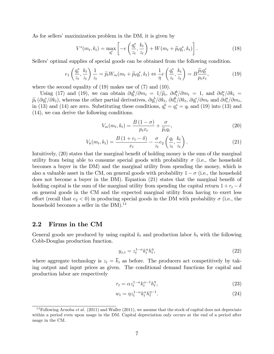As for sellers' maximization problem in the DM, it is given by

$$
V^s(m_t, k_t) = \max_{q_t^s} \left[ -e\left(\frac{q_t^s}{z_t}, \frac{k_t}{z_t}\right) + W(m_t + \widetilde{p}_t q_t^s, k_t) \right].
$$
 (18)

Sellers' optimal supplies of special goods can be obtained from the following condition.

$$
e_1\left(\frac{q_t^s}{z_t}, \frac{k_t}{z_t}\right) \frac{1}{z_t} = \widetilde{p}_t W_m(m_t + \widetilde{p}_t q_t^s, k_t) \Leftrightarrow \frac{1}{\eta} e\left(\frac{q_t^s}{z_t}, \frac{k_t}{z_t}\right) = B \frac{\widetilde{p}_t q_t^s}{p_t x_t},\tag{19}
$$

where the second equality of (19) makes use of (7) and (10).

Using (17) and (19), we can obtain  $\partial q_b^b / \partial m_t = 1/\tilde{p}_t$ ,  $\partial d_b^b / \partial m_t = 1$ , and  $\partial d_s^s / \partial k_t =$ <br> $\partial_s^s / \partial t$ , the solution of the training  $\partial_t^b / \partial t$ ,  $\partial_s^b / \partial t$ ,  $\partial_s^s / \partial t$ ,  $\partial_s^s / \partial t$  $\widetilde{p}_t\left(\partial q_t^s/\partial k_t\right)$ , whereas the other partial derivatives,  $\partial q_t^b/\partial k_t$ ,  $\partial d_t^b/\partial k_t$ ,  $\partial q_t^s/\partial m_t$  and  $\partial d_t^s/\partial m_t$ ,<br>in (12) and (14) are gave. Substitutive these see ditions  $\frac{1}{a}$ ,  $\frac{1}{a}$ ,  $\frac{1}{a}$ , and ( in (13) and (14) are zero. Substituting these conditions,  $q_t^b = q_t^s = q_t$  and (19) into (13) and (14), we can derive the following conditions.

$$
V_m(m_t, k_t) = \frac{B(1-\sigma)}{p_t x_t} + \frac{\sigma}{\widetilde{p}_t q_t},\tag{20}
$$

$$
V_k(m_t, k_t) = \frac{B\left(1 + r_t - \delta\right)}{x_t} - \frac{\sigma}{z_t} e_2\left(\frac{q_t}{z_t}, \frac{k_t}{z_t}\right). \tag{21}
$$

Intuitively,  $(20)$  states that the marginal benefit of holding money is the sum of the marginal utility from being able to consume special goods with probability  $\sigma$  (i.e., the household becomes a buyer in the DM) and the marginal utility from spending the money, which is also a valuable asset in the CM, on general goods with probability  $1 - \sigma$  (i.e., the household does not become a buyer in the DM). Equation  $(21)$  states that the marginal benefit of holding capital is the sum of the marginal utility from spending the capital return  $1 + r_t - \delta$ on general goods in the CM and the expected marginal utility from having to exert less effort (recall that  $e_2 < 0$ ) in producing special goods in the DM with probability  $\sigma$  (i.e., the household becomes a seller in the  $DM$ .<sup>14</sup>

### 2.2 Firms in the CM

General goods are produced by using capital  $k_t$  and production labor  $h_t$  with the following Cobb-Douglas production function.

$$
y_{x,t} = z_t^{1-\alpha} k_t^{\alpha} h_t^{\eta},\tag{22}
$$

where aggregate technology is  $z_t = \overline{k}_t$  as before. The producers act competitively by taking output and input prices as given. The conditional demand functions for capital and production labor are respectively

$$
r_t = \alpha z_t^{1-\alpha} k_t^{\alpha-1} h_t^{\eta},\tag{23}
$$

$$
w_t = \eta z_t^{1-\alpha} k_t^{\alpha} h_t^{\eta-1}.
$$
\n
$$
(24)
$$

<sup>&</sup>lt;sup>14</sup>Following Aruoba *et al.* (2011) and Waller (2011), we assume that the stock of capital does not depreciate within a period even upon usage in the DM. Capital depreciation only occurs at the end of a period after usage in the CM.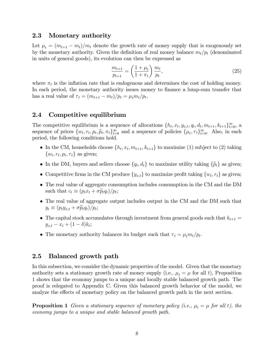### 2.3 Monetary authority

Let  $\mu_t = (m_{t+1} - m_t)/m_t$  denote the growth rate of money supply that is exogenously set by the monetary authority. Given the definition of real money balance  $m_t/p_t$  (denominated in units of general goods), its evolution can then be expressed as

$$
\frac{m_{t+1}}{p_{t+1}} = \left(\frac{1+\mu_t}{1+\pi_t}\right) \frac{m_t}{p_t},\tag{25}
$$

where  $\pi_t$  is the inflation rate that is endogenous and determines the cost of holding money. In each period, the monetary authority issues money to finance a lump-sum transfer that has a real value of  $\tau_t = (m_{t+1} - m_t)/p_t = \mu_t m_t/p_t$ .

### 2.4 Competitive equilibrium

The competitive equilibrium is a sequence of allocations  $\{h_t, x_t, y_{x,t}, q_t, d_t, m_{t+1}, k_{t+1}\}_{t=0}^{\infty}$ , a sequence of prices  $\{w_t, r_t, p_t, \widetilde{p}_t, \pi_t\}_{t=0}^{\infty}$  and a sequence of policies  $\{\mu_t, \tau_t\}_{t=0}^{\infty}$ . Also, in each period, the following conditions hold.

- In the CM, households choose  $\{h_t, x_t, m_{t+1}, k_{t+1}\}$  to maximize (1) subject to (2) taking  $\{w_t, r_t, p_t, \tau_t\}$  as given;
- In the DM, buyers and sellers choose  $\{q_t, d_t\}$  to maximize utility taking  $\{\tilde{p}_t\}$  as given;
- Competitive firms in the CM produce  $\{y_{x,t}\}\)$  to maximize profit taking  $\{w_t, r_t\}$  as given;
- The real value of aggregate consumption includes consumption in the CM and the DM such that  $c_t \equiv (p_t x_t + \sigma \widetilde{p}_t q_t)/p_t;$
- The real value of aggregate output includes output in the CM and the DM such that  $y_t \equiv (p_t y_{x,t} + \sigma \widetilde{p}_t q_t)/p_t;$
- $\bullet~$  The capital stock accumulates through investment from general goods such that  $k_{t+1} =$  $y_{x,t} - x_t + (1 - \delta)k_t;$
- The monetary authority balances its budget such that  $\tau_t = \mu_t m_t / p_t$ .

### 2.5 Balanced growth path

In this subsection, we consider the dynamic properties of the model. Given that the monetary authority sets a stationary growth rate of money supply (i.e.,  $\mu_t = \mu$  for all t), Proposition 1 shows that the economy jumps to a unique and locally stable balanced growth path. The proof is relegated to Appendix C. Given this balanced growth behavior of the model, we analyze the effects of monetary policy on the balanced growth path in the next section.

**Proposition 1** Given a stationary sequence of monetary policy (i.e.,  $\mu_t = \mu$  for all t), the economy jumps to a unique and stable balanced growth path.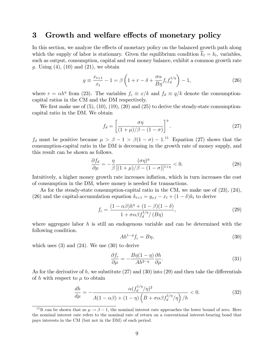### 3 Growth and welfare effects of monetary policy

In this section, we analyze the effects of monetary policy on the balanced growth path along which the supply of labor is stationary. Given the equilibrium condition  $k_t = k_t$ , variables, such as output, consumption, capital and real money balance, exhibit a common growth rate g. Using  $(4)$ ,  $(10)$  and  $(21)$ , we obtain

$$
g \equiv \frac{x_{t+1}}{x_t} - 1 = \beta \left( 1 + r - \delta + \frac{\sigma \alpha}{B \eta} f_c f_d^{1/\eta} \right) - 1,\tag{26}
$$

where  $r = \alpha h^{\eta}$  from (23). The variables  $f_c \equiv x/k$  and  $f_d \equiv q/k$  denote the consumptioncapital ratios in the CM and the DM respectively.

We first make use of  $(5)$ ,  $(10)$ ,  $(19)$ ,  $(20)$  and  $(25)$  to derive the steady-state consumptioncapital ratio in the DM. We obtain

$$
f_d = \left[\frac{\sigma\eta}{(1+\mu)/\beta - (1-\sigma)}\right]^\eta.
$$
\n(27)

 $f_d$  must be positive because  $\mu > \beta - 1 > \beta(1 - \sigma) - 1$ .<sup>15</sup> Equation (27) shows that the consumption-capital ratio in the DM is decreasing in the growth rate of money supply, and this result can be shown as follows.

$$
\frac{\partial f_d}{\partial \mu} = -\frac{\eta}{\beta} \frac{(\sigma \eta)^{\eta}}{[(1+\mu)/\beta - (1-\sigma)]^{1+\eta}} < 0. \tag{28}
$$

Intuitively, a higher money growth rate increases inflation, which in turn increases the cost of consumption in the DM, where money is needed for transactions.

As for the steady-state consumption-capital ratio in the CM, we make use of (23), (24), (26) and the capital-accumulation equation  $k_{t+1} = y_{x,t} - x_t + (1 - \delta)k_t$  to derive

$$
f_c = \frac{(1 - \alpha \beta)h^{\eta} + (1 - \beta)(1 - \delta)}{1 + \sigma \alpha \beta f_d^{1/\eta} / (B\eta)},
$$
\n(29)

where aggregate labor h is still an endogenous variable and can be determined with the following condition.

$$
Ah^{1-\eta}f_c = B\eta,\tag{30}
$$

which uses  $(3)$  and  $(24)$ . We use  $(30)$  to derive

$$
\frac{\partial f_c}{\partial \mu} = -\frac{B\eta(1-\eta)}{Ah^{2-\eta}} \frac{\partial h}{\partial \mu}.
$$
\n(31)

As for the derivative of h, we substitute  $(27)$  and  $(30)$  into  $(29)$  and then take the differentials of h with respect to  $\mu$  to obtain

$$
\frac{dh}{d\mu} = -\frac{\alpha (f_d^{1/\eta}/\eta)^2}{A(1-\alpha\beta) + (1-\eta)\left(B + \sigma\alpha\beta f_d^{1/\eta}/\eta\right)/h} < 0. \tag{32}
$$

<sup>&</sup>lt;sup>15</sup>It can be shown that as  $\mu \rightarrow \beta - 1$ , the nominal interest rate approaches the lower bound of zero. Here the nominal interest rate refers to the nominal rate of return on a conventional interest-bearing bond that pays interests in the CM (but not in the DM) of each period.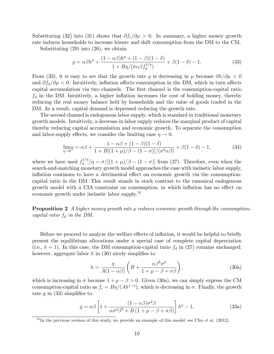Substituting (32) into (31) shows that  $\partial f_c/\partial \mu > 0$ . In summary, a higher money growth rate induces households to increase leisure and shift consumption from the DM to the CM.

Substituting (29) into (26), we obtain

$$
g = \alpha \beta h^{\eta} + \frac{(1 - \alpha \beta)h^{\eta} + (1 - \beta)(1 - \delta)}{1 + B\eta/(\sigma \alpha \beta f_d^{1/\eta})} + \beta(1 - \delta) - 1.
$$
 (33)

From (33), it is easy to see that the growth rate q is decreasing in  $\mu$  because  $\partial h/\partial \mu < 0$ and  $\partial f_d/\partial \mu < 0$ . Intuitively, inflation affects consumption in the DM, which in turn affects capital accumulation via two channels. The first channel is the consumption-capital ratio  $f_d$  in the DM. Intuitively, a higher inflation increases the cost of holding money, thereby reducing the real money balance held by households and the value of goods traded in the DM. As a result, capital demand is depressed reducing the growth rate.

The second channel is endogenous labor supply, which is standard in traditional monetary growth models. Intuitively, a decrease in labor supply reduces the marginal product of capital thereby reducing capital accumulation and economic growth. To separate the consumption and labor-supply effects, we consider the limiting case  $\eta \to 0$ .

$$
\lim_{\eta \to 0} g = \alpha \beta + \frac{1 - \alpha \beta + (1 - \beta)(1 - \delta)}{1 + B[(1 + \mu)/\beta - (1 - \sigma)]/(\sigma^2 \alpha \beta)} + \beta(1 - \delta) - 1,\tag{34}
$$

where we have used  $f_d^{1/\eta}$  $\frac{d^{(1/\eta)}}{d}$  / $\eta = \frac{\sigma}{[(1+\mu)/\beta - (1-\sigma)]}$  from (27). Therefore, even when the search-and-matching monetary growth model approaches the case with inelastic labor supply, inflation continues to have a detrimental effect on economic growth via the consumptioncapital ratio in the DM. This result stands in stark contrast to the canonical endogenous growth model with a CIA constraint on consumption, in which inflation has no effect on economic growth under inelastic labor supply.<sup>16</sup>

**Proposition 2** A higher money growth rate  $\mu$  reduces economic growth through the consumptioncapital ratio  $f_d$  in the DM.

Before we proceed to analyze the welfare effects of inflation, it would be helpful to briefly present the equilibrium allocations under a special case of complete capital depreciation (i.e.,  $\delta = 1$ ). In this case, the DM consumption-capital ratio  $f_d$  in (27) remains unchanged; however, aggregate labor  $h$  in (30) nicely simplifies to

$$
h = \frac{\eta}{A(1 - \alpha\beta)} \left( B + \frac{\alpha\beta^2 \sigma^2}{1 + \mu - \beta + \sigma\beta} \right),\tag{30a}
$$

which is increasing in  $\sigma$  because  $1 + \mu - \beta > 0$ . Given (30a), we can simply express the CM consumption-capital ratio as  $f_c = B\eta/(Ah^{1-\eta})$ , which is decreasing in  $\sigma$ . Finally, the growth rate q in  $(33)$  simplifies to

$$
g = \alpha \beta \left[ 1 + \frac{(1 - \alpha \beta)\sigma^2 \beta}{\alpha \sigma^2 \beta^2 + B(1 + \mu - \beta + \sigma \beta)} \right] h^{\eta} - 1,
$$
 (33a)

<sup>&</sup>lt;sup>16</sup>In the previous version of this study, we provide an example of this model; see Chu *et al.* (2012).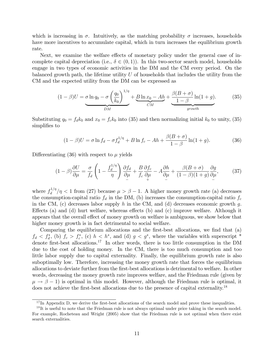which is increasing in  $\sigma$ . Intuitively, as the matching probability  $\sigma$  increases, households have more incentives to accumulate capital, which in turn increases the equilibrium growth rate.

Next, we examine the welfare effects of monetary policy under the general case of incomplete capital depreciation (i.e.,  $\delta \in (0, 1)$ ). In this two-sector search model, households engage in two types of economic activities in the DM and the CM every period. On the balanced growth path, the lifetime utility  $U$  of households that includes the utility from the CM and the expected utility from the DM can be expressed as

$$
(1 - \beta)U = \underbrace{\sigma \ln q_0 - \sigma \left(\frac{q_0}{k_0}\right)^{1/\eta}}_{DM} + \underbrace{B \ln x_0 - Ah}_{CM} + \underbrace{\frac{\beta(B + \sigma)}{1 - \beta} \ln(1 + g)}_{growth}.
$$
 (35)

Substituting  $q_0 = f_d k_0$  and  $x_0 = f_c k_0$  into (35) and then normalizing initial  $k_0$  to unity, (35) simplifies to

$$
(1 - \beta)U = \sigma \ln f_d - \sigma f_d^{1/\eta} + B \ln f_c - Ah + \frac{\beta (B + \sigma)}{1 - \beta} \ln(1 + g). \tag{36}
$$

Differentiating (36) with respect to  $\mu$  yields

$$
(1 - \beta)\frac{\partial U}{\partial \mu} = \frac{\sigma}{f_d} \left( 1 - \frac{f_d^{1/\eta}}{\eta} \right) \frac{\partial f_d}{\partial \mu} + \frac{B}{f_c} \frac{\partial f_c}{\partial \mu} - A \frac{\partial h}{\partial \mu} + \frac{\beta (B + \sigma)}{(1 - \beta)(1 + g)} \frac{\partial g}{\partial \mu},\tag{37}
$$

where  $f_d^{1/\eta}$  $\frac{d^{1/\eta}}{d}$  / $\eta$  < 1 from (27) because  $\mu > \beta - 1$ . A higher money growth rate (a) decreases the consumption-capital ratio  $f_d$  in the DM, (b) increases the consumption-capital ratio  $f_c$ in the CM, (c) decreases labor supply h in the CM, and (d) decreases economic growth g. Effects (a) and (d) hurt welfare, whereas effects (b) and (c) improve welfare. Although it appears that the overall effect of money growth on welfare is ambiguous, we show below that higher money growth is in fact detrimental to social welfare.

Comparing the equilibrium allocations and the first-best allocations, we find that (a)  $f_d < f_d^*$ , (b)  $f_c > f_c^*$ , (c)  $h < h^*$ , and (d)  $g < g^*$ , where the variables with superscript  $^*$ denote first-best allocations.<sup>17</sup> In other words, there is too little consumption in the DM due to the cost of holding money. In the CM, there is too much consumption and too little labor supply due to capital externality. Finally, the equilibrium growth rate is also suboptimally low. Therefore, increasing the money growth rate that forces the equilibrium allocations to deviate further from the Örst-best allocations is detrimental to welfare. In other words, decreasing the money growth rate improves welfare, and the Friedman rule (given by  $\mu \rightarrow \beta - 1$ ) is optimal in this model. However, although the Friedman rule is optimal, it does not achieve the first-best allocations due to the presence of capital externality.<sup>18</sup>

 $17$  In Appendix D, we derive the first-best allocations of the search model and prove these inequalities.

<sup>&</sup>lt;sup>18</sup>It is useful to note that the Friedman rule is not always optimal under price taking in the search model. For example, Rocheteau and Wright (2005) show that the Friedman rule is not optimal when there exist search externalities.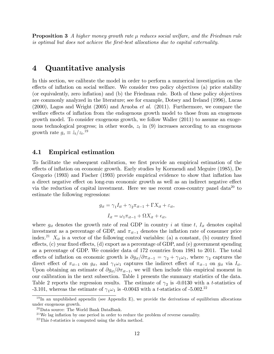**Proposition 3** A higher money growth rate  $\mu$  reduces social welfare, and the Friedman rule is optimal but does not achieve the Örst-best allocations due to capital externality.

### 4 Quantitative analysis

In this section, we calibrate the model in order to perform a numerical investigation on the effects of inflation on social welfare. We consider two policy objectives (a) price stability (or equivalently, zero ináation) and (b) the Friedman rule. Both of these policy objectives are commonly analyzed in the literature; see for example, Dotsey and Ireland (1996), Lucas (2000), Lagos and Wright (2005) and Aruoba et al. (2011). Furthermore, we compare the welfare effects of inflation from the endogenous growth model to those from an exogenous growth model. To consider exogenous growth, we follow Waller (2011) to assume an exogenous technological progress; in other words,  $z_t$  in (9) increases according to an exogenous growth rate  $g_z \equiv \dot{z}_t/z_t$ .<sup>19</sup>

### 4.1 Empirical estimation

To facilitate the subsequent calibration, we first provide an empirical estimation of the effects of inflation on economic growth. Early studies by Kormendi and Meguire (1985), De Gregorio (1993) and Fischer (1993) provide empirical evidence to show that ináation has a direct negative effect on long-run economic growth as well as an indirect negative effect via the reduction of capital investment. Here we use recent cross-country panel data<sup>20</sup> to estimate the following regressions:

$$
g_{it} = \gamma_1 I_{it} + \gamma_2 \pi_{it-1} + \Gamma X_{it} + \varepsilon_{it},
$$

$$
I_{it} = \omega_1 \pi_{it-1} + \Omega X_{it} + \epsilon_{it},
$$

where  $g_{it}$  denotes the growth rate of real GDP in country i at time t,  $I_{it}$  denotes capital investment as a percentage of GDP, and  $\pi_{it-1}$  denotes the inflation rate of consumer price index.<sup>21</sup>  $X_{it}$  is a vector of the following control variables: (a) a constant, (b) country fixed effects,  $(c)$  year fixed effects,  $(d)$  export as a percentage of GDP, and  $(e)$  government spending as a percentage of GDP. We consider data of 172 countries from 1981 to 2011. The total effects of inflation on economic growth is  $\partial g_{it}/\partial \pi_{it-1} = \gamma_2 + \gamma_1 \omega_1$ , where  $\gamma_2$  captures the direct effect of  $\pi_{it-1}$  on  $g_{it}$ , and  $\gamma_1 \omega_1$  captures the indirect effect of  $\pi_{it-1}$  on  $g_{it}$  via  $I_{it}$ . Upon obtaining an estimate of  $\partial g_{it}/\partial \pi_{it-1}$ , we will then include this empirical moment in our calibration in the next subsection. Table 1 presents the summary statistics of the data. Table 2 reports the regression results. The estimate of  $\gamma_2$  is -0.0130 with a t-statistics of -3.101, whereas the estimate of  $\gamma_1 \omega_1$  is -0.0043 with a *t*-statistics of -5.002.<sup>22</sup>

 $19$  In an unpublished appendix (see Appendix E), we provide the derivations of equilibrium allocations under exogenous growth.

 $^{20}$  Data source: The World Bank DataBank.

 $21$ We lag inflation by one period in order to reduce the problem of reverse casuality.

 $^{22}$ This *t*-statistics is computed using the delta method.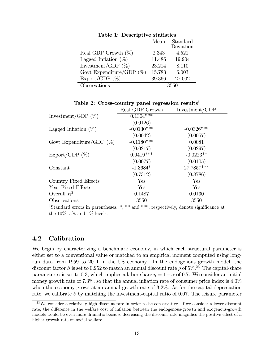| Lable 1: Descriptive statistics |        |                       |  |  |
|---------------------------------|--------|-----------------------|--|--|
|                                 | Mean   | Standard<br>Deviation |  |  |
| Real GDP Growth $(\%)$          | 2.343  | 4.521                 |  |  |
| Lagged Inflation $(\%)$         | 11.486 | 19.904                |  |  |
| Investment/GDP $(\%)$           | 23.214 | 8.110                 |  |  |
| Govt Expenditure/GDP $(\%)$     | 15.783 | 6.003                 |  |  |
| Export/GDP $(\%)$               | 39.366 | 27.002                |  |  |
| Observations                    | 3550   |                       |  |  |

Table 1: Descriptive statistics

Table 2: Cross-country panel regression results<sup>†</sup>

|                                    | Real GDP Growth | Investment/GDP |
|------------------------------------|-----------------|----------------|
| Investment/GDP $(\%)$              | $0.1304***$     |                |
|                                    | (0.0126)        |                |
| Lagged Inflation $(\%)$            | $-0.0130***$    | $-0.0326***$   |
|                                    | (0.0042)        | (0.0057)       |
| Govt Expenditure/GDP $(\%)$        | $-0.1180***$    | 0.0081         |
|                                    | (0.0217)        | (0.0297)       |
| $\mathrm{Export}/\mathrm{GDP}$ (%) | $0.0419***$     | $-0.0223**$    |
|                                    | (0.0077)        | (0.0105)       |
| Constant                           | $-1.3684*$      | 27.7857***     |
|                                    | (0.7312)        | (0.8786)       |
| Country Fixed Effects              | Yes             | Yes            |
| Year Fixed Effects                 | Yes             | Yes            |
| Overall $R^2$                      | 0.1487          | 0.0130         |
| Observations                       | 3550            | 3550           |

<sup> $\dagger$ </sup>Standard errors in parentheses.  $*,$  \*\* and \*\*\*, respectively, denote significance at the  $10\%$ ,  $5\%$  and  $1\%$  levels.

### 4.2 Calibration

We begin by characterizing a benchmark economy, in which each structural parameter is either set to a conventional value or matched to an empirical moment computed using longrun data from 1959 to 2011 in the US economy. In the endogenous growth model, the discount factor  $\beta$  is set to 0.952 to match an annual discount rate  $\rho$  of 5%.<sup>23</sup> The capital-share parameter  $\alpha$  is set to 0.3, which implies a labor share  $\eta = 1 - \alpha$  of 0.7. We consider an initial money growth rate of  $7.3\%$ , so that the annual inflation rate of consumer price index is  $4.0\%$ when the economy grows at an annual growth rate of 3.2%. As for the capital depreciation rate, we calibrate  $\delta$  by matching the investment-capital ratio of 0.07. The leisure parameter

<sup>&</sup>lt;sup>23</sup>We consider a relatively high discount rate in order to be conservative. If we consider a lower discount rate, the difference in the welfare cost of inflation between the endogenous-growth and exogenous-growth models would be even more dramatic because decreasing the discount rate magnifies the positive effect of a higher growth rate on social welfare.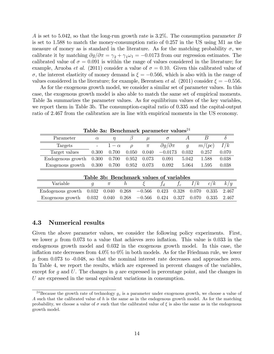A is set to 5.042, so that the long-run growth rate is 3.2%. The consumption parameter B is set to 1.588 to match the money-consumption ratio of 0.257 in the US using M1 as the measure of money as is standard in the literature. As for the matching probability  $\sigma$ , we calibrate it by matching  $\partial g/\partial \pi = \gamma_2 + \gamma_1 \omega_1 = -0.0173$  from our regression estimates. The calibrated value of  $\sigma = 0.091$  is within the range of values considered in the literature; for example, Aruoba *et al.* (2011) consider a value of  $\sigma = 0.10$ . Given this calibrated value of  $\sigma$ , the interest elasticity of money demand is  $\xi = -0.566$ , which is also with in the range of values considered in the literature; for example, Berentsen *et al.* (2011) consider  $\xi = -0.556$ .

As for the exogenous growth model, we consider a similar set of parameter values. In this case, the exogenous growth model is also able to match the same set of empirical moments. Table 3a summarizes the parameter values. As for equilibrium values of the key variables, we report them in Table 3b. The consumption-capital ratio of 0.335 and the capital-output ratio of 2.467 from the calibration are in line with empirical moments in the US economy.

| Table 3a: Benchmark parameter values <sup>24</sup> |                |            |          |          |                          |       |                |        |       |
|----------------------------------------------------|----------------|------------|----------|----------|--------------------------|-------|----------------|--------|-------|
| Parameter                                          | $\alpha$       | $\eta$     |          | $\mu$    | $\sigma$                 |       | А              | B      | Λ     |
| Targets                                            |                | $1-\alpha$ | $\Omega$ | $\pi$    | $\partial g/\partial\pi$ |       | $\mathfrak{g}$ | m/(pc) | I/k   |
| Target values                                      | 0.300          | 0.700      | 0.050    | 0.040    | $-0.0173$                |       | 0.032          | 0.257  | 0.070 |
| Endogenous growth                                  | 0.300          | 0.700      | 0.952    | 0.073    | 0.091                    |       | 5.042          | 1.588  | 0.038 |
| Exogenous growth                                   | 0.300          | 0.700      | 0.952    | 0.073    | 0.092                    |       | 5.064          | 1.595  | 0.038 |
| Table 3b: Benchmark values of variables            |                |            |          |          |                          |       |                |        |       |
| Variable                                           | $\mathfrak{g}$ | $\pi$      | $\hbar$  |          | $f_d\,$                  | $f_c$ | I/k            | c/k    | k/y   |
| Endogenous growth                                  | 0.032          | 0.040      | 0.268    | $-0.566$ | 0.423                    | 0.328 | 0.070          | 0.335  | 2.467 |
| Exogenous growth                                   | 0.032          | 0.040      | 0.268    | $-0.566$ | 0.424                    | 0.327 | 0.070          | 0.335  | 2.467 |

### 4.3 Numerical results

Given the above parameter values, we consider the following policy experiments. First, we lower  $\mu$  from 0.073 to a value that achieves zero inflation. This value is 0.033 in the endogenous growth model and 0.032 in the exogenous growth model. In this case, the inflation rate decreases from  $4.0\%$  to  $0\%$  in both models. As for the Friedman rule, we lower  $\mu$  from 0.073 to -0.048, so that the nominal interest rate decreases and approaches zero. In Table 4, we report the results, which are expressed in percent changes of the variables, except for g and U. The changes in g are expressed in percentage point, and the changes in U are expressed in the usual equivalent variations in consumption.

<sup>&</sup>lt;sup>24</sup>Because the growth rate of technology  $g_z$  is a parameter under exogenous growth, we choose a value of A such that the calibrated value of  $h$  is the same as in the endogenous growth model. As for the matching probability, we choose a value of  $\sigma$  such that the calibrated value of  $\xi$  is also the same as in the endogenous growth model.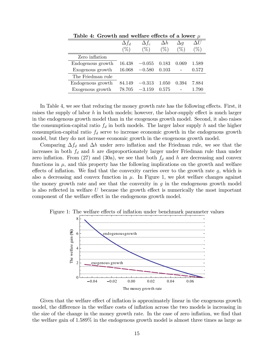|                   | $\Delta f_d$ | $\Delta f_c$ | $\Delta h$ | $\Delta q$      | ΑIJ    |
|-------------------|--------------|--------------|------------|-----------------|--------|
|                   | %            | %`           | $\%$       | $\mathcal{C}_0$ | $\%$ , |
| Zero inflation    |              |              |            |                 |        |
| Endogenous growth | 16.438       | $-0.055$     | 0.183      | 0.069           | 1.589  |
| Exogenous growth  | 16.068       | $-0.580$     | 0.103      |                 | 0.572  |
| The Friedman rule |              |              |            |                 |        |
| Endogenous growth | 84 149       | $-0.313$     | 1.050      | 0.394           | 7.884  |
| Exogenous growth  | 78.705       | $-3.159$     | 0.575      |                 | 1.790  |

Table 4: Growth and welfare effects of a lower  $\mu$ 

In Table 4, we see that reducing the money growth rate has the following effects. First, it raises the supply of labor h in both models; however, the labor-supply effect is much larger in the endogenous growth model than in the exogenous growth model. Second, it also raises the consumption-capital ratio  $f_d$  in both models. The larger labor supply h and the higher consumption-capital ratio  $f_d$  serve to increase economic growth in the endogenous growth model, but they do not increase economic growth in the exogenous growth model.

Comparing  $\Delta f_d$  and  $\Delta h$  under zero inflation and the Friedman rule, we see that the increases in both  $f_d$  and h are disproportionately larger under Friedman rule than under zero inflation. From (27) and (30a), we see that both  $f_d$  and h are decreasing and convex functions in  $\mu$ , and this property has the following implications on the growth and welfare effects of inflation. We find that the convexity carries over to the growth rate  $q$ , which is also a decreasing and convex function in  $\mu$ . In Figure 1, we plot welfare changes against the money growth rate and see that the convexity in  $g$  in the endogenous growth model is also reflected in welfare  $U$  because the growth effect is numerically the most important component of the welfare effect in the endogenous growth model.



Figure 1: The welfare effects of inflation under benchmark parameter values

Given that the welfare effect of inflation is approximately linear in the exogenous growth model, the difference in the welfare costs of inflation across the two models is increasing in the size of the change in the money growth rate. In the case of zero inflation, we find that the welfare gain of 1.589% in the endogenous growth model is almost three times as large as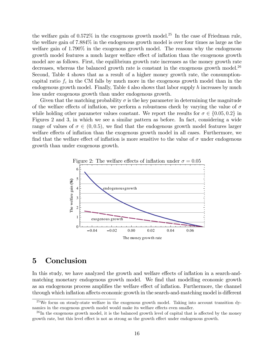the welfare gain of  $0.572\%$  in the exogenous growth model.<sup>25</sup> In the case of Friedman rule. the welfare gain of 7.884% in the endogenous growth model is over four times as large as the welfare gain of 1.790% in the exogenous growth model. The reasons why the endogenous growth model features a much larger welfare effect of inflation than the exogenous growth model are as follows. First, the equilibrium growth rate increases as the money growth rate decreases, whereas the balanced growth rate is constant in the exogenous growth model.<sup>26</sup> Second, Table 4 shows that as a result of a higher money growth rate, the consumptioncapital ratio  $f_c$  in the CM falls by much more in the exogenous growth model than in the endogenous growth model. Finally, Table 4 also shows that labor supply  $h$  increases by much less under exogenous growth than under endogenous growth.

Given that the matching probability  $\sigma$  is the key parameter in determining the magnitude of the welfare effects of inflation, we perform a robustness check by varying the value of  $\sigma$ while holding other parameter values constant. We report the results for  $\sigma \in \{0.05, 0.2\}$  in Figures 2 and 3, in which we see a similar pattern as before. In fact, considering a wide range of values of  $\sigma \in (0, 0.5)$ , we find that the endogenous growth model features larger welfare effects of inflation than the exogenous growth model in all cases. Furthermore, we find that the welfare effect of inflation is more sensitive to the value of  $\sigma$  under endogenous growth than under exogenous growth.



### 5 Conclusion

In this study, we have analyzed the growth and welfare effects of inflation in a search-andmatching monetary endogenous growth model. We find that modelling economic growth as an endogenous process amplifies the welfare effect of inflation. Furthermore, the channel through which inflation affects economic growth in the search-and-matching model is different

 $25$ We focus on steady-state welfare in the exogenous growth model. Taking into account transition dynamics in the exogenous growth model would make its welfare effects even smaller.

 $^{26}$ In the exogenous growth model, it is the balanced growth level of capital that is affected by the money growth rate, but this level effect is not as strong as the growth effect under endogenous growth.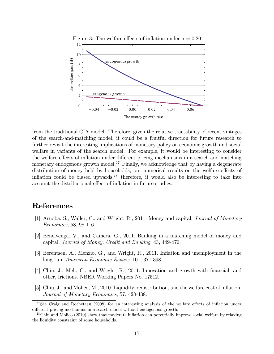

from the traditional CIA model. Therefore, given the relative tractability of recent vintages of the search-and-matching model, it could be a fruitful direction for future research to further revisit the interesting implications of monetary policy on economic growth and social welfare in variants of the search model. For example, it would be interesting to consider the welfare effects of inflation under different pricing mechanisms in a search-and-matching monetary endogenous growth model.<sup>27</sup> Finally, we acknowledge that by having a degenerate distribution of money held by households, our numerical results on the welfare effects of inflation could be biased upwards; $^{28}$  therefore, it would also be interesting to take into account the distributional effect of inflation in future studies.

## References

- [1] Aruoba, S., Waller, C., and Wright, R., 2011. Money and capital. Journal of Monetary Economics, 58, 98-116.
- [2] Bencivenga, V., and Camera, G., 2011. Banking in a matching model of money and capital. Journal of Money, Credit and Banking, 43, 449-476.
- [3] Berentsen, A., Menzio, G., and Wright, R., 2011. Inflation and unemployment in the long run. American Economic Review, 101, 371-398.
- [4] Chiu, J., Meh, C., and Wright, R., 2011. Innovation and growth with Önancial, and other, frictions. NBER Working Papers No. 17512.
- [5] Chiu, J., and Molico, M., 2010. Liquidity, redistribution, and the welfare cost of inflation. Journal of Monetary Economics, 57, 428-438.

 $27$ See Craig and Rocheteau (2008) for an interesting analysis of the welfare effects of inflation under different pricing mechanims in a search model without endogenous growth.

 $^{28}$ Chiu and Molico (2010) show that moderate inflation can potentially improve social welfare by relaxing the liquidity constraint of some households.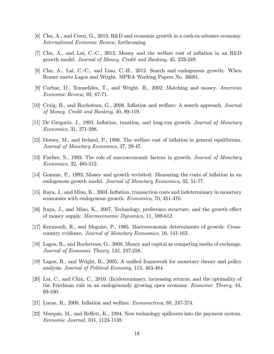- [6] Chu, A., and Cozzi, G., 2013. R&D and economic growth in a cash-in-advance economy. International Economic Review, forthcoming.
- [7] Chu, A., and Lai, C.-C., 2013. Money and the welfare cost of ináation in an R&D growth model. Journal of Money, Credit and Banking, 45, 233-249.
- [8] Chu, A., Lai, C.-C., and Liao, C.-H., 2012. Search and endogenous growth: When Romer meets Lagos and Wright. MPRA Working Papers No. 36691.
- [9] Corbae, D., Temzelides, T., and Wright, R., 2002. Matching and money. American Economic Review, 92, 67-71.
- [10] Craig, B., and Rocheteau, G., 2008. Ináation and welfare: A search approach. Journal of Money, Credit and Banking, 40, 89-119.
- [11] De Gregorio, J., 1993. Ináation, taxation, and long-run growth. Journal of Monetary Economics, 31, 271-298.
- [12] Dotsey, M., and Ireland, P., 1996. The welfare cost of ináation in general equilibrium. Journal of Monetary Economics, 37, 29-47.
- [13] Fischer, S., 1993. The role of macroeconomic factors in growth. Journal of Monetary Economics, 32, 485-512.
- [14] Gomme, P., 1993. Money and growth revisited: Measuring the costs of ináation in an endogenous growth model. Journal of Monetary Economics, 32, 51-77.
- [15] Itaya, J., and Mino, K., 2003. Ináation, transaction costs and indeterminacy in monetary economies with endogenous growth. Economica, 70, 451-470.
- [16] Itaya, J., and Mino, K., 2007. Technology, preference structure, and the growth effect of money supply. Macroeconomic Dynamics, 11, 589-612.
- [17] Kormendi, R., and Meguire, P., 1985. Macroeconomic determinants of growth: Crosscountry evidence. Journal of Monetary Economics, 16, 141-163.
- [18] Lagos, R., and Rocheteau, G., 2008. Money and capital as competing media of exchange. Journal of Economic Theory, 142, 247-258.
- [19] Lagos, R., and Wright, R., 2005. A unified framework for monetary theory and policy analysis. Journal of Political Economy, 113, 463-484.
- [20] Lai, C., and Chin, C., 2010. (In)determinacy, increasing returns, and the optimality of the Friedman rule in an endogenously growing open economy. Economic Theory, 44, 69-100.
- [21] Lucas, R., 2000. Ináation and welfare. Econometrica, 68, 247-274.
- [22] Marquis, M., and Reffett, K., 1994. New technology spillovers into the payment system. Economic Journal, 104, 1123-1138.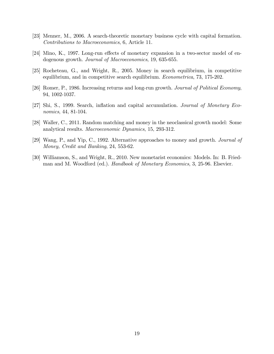- [23] Menner, M., 2006. A search-theoretic monetary business cycle with capital formation. Contributions to Macroeconomics, 6, Article 11.
- $[24]$  Mino, K., 1997. Long-run effects of monetary expansion in a two-sector model of endogenous growth. Journal of Macroeconomics, 19, 635-655.
- [25] Rocheteau, G., and Wright, R., 2005. Money in search equilibrium, in competitive equilibrium, and in competitive search equilibrium. *Econometrica*, 73, 175-202.
- [26] Romer, P., 1986. Increasing returns and long-run growth. Journal of Political Economy, 94, 1002-1037.
- [27] Shi, S., 1999. Search, inflation and capital accumulation. *Journal of Monetary Eco*nomics, 44, 81-104.
- [28] Waller, C., 2011. Random matching and money in the neoclassical growth model: Some analytical results. Macroeconomic Dynamics, 15, 293-312.
- [29] Wang, P., and Yip, C., 1992. Alternative approaches to money and growth. Journal of Money, Credit and Banking, 24, 553-62.
- [30] Williamson, S., and Wright, R., 2010. New monetarist economics: Models. In: B. Friedman and M. Woodford (ed.). *Handbook of Monetary Economics*, 3, 25-96. Elsevier.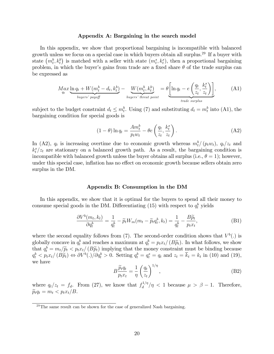#### Appendix A: Bargaining in the search model

In this appendix, we show that proportional bargaining is incompatible with balanced growth unless we focus on a special case in which buyers obtain all surplus.<sup>29</sup> If a buyer with state  $(m_t^b, k_t^b)$  is matched with a seller with state  $(m_t^s, k_t^s)$ , then a proportional bargaining problem, in which the buyer's gains from trade are a fixed share  $\theta$  of the trade surplus can be expressed as

$$
Max_{qt} \underbrace{\ln q_t + W(m_t^b - d_t, k_t^b)}_{buyers' payoff} - \underbrace{W(m_t^b, k_t^b)}_{buyers' thread point} = \theta \left[ \ln q_t - e \left( \frac{q_t}{z_t}, \frac{k_t^s}{z_t} \right) \right],
$$
 (A1)

subject to the budget constraint  $d_t \leq m_t^b$ . Using (7) and substituting  $d_t = m_t^b$  into (A1), the bargaining condition for special goods is

$$
(1 - \theta) \ln q_t = \frac{Am_t^b}{p_t w_t} - \theta e \left(\frac{q_t}{z_t}, \frac{k_t^s}{z_t}\right). \tag{A2}
$$

In (A2),  $q_t$  is increasing overtime due to economic growth whereas  $m_t^b/(p_t w_t)$ ,  $q_t/z_t$  and  $k_t^s/z_t$  are stationary on a balanced growth path. As a result, the bargaining condition is incompatible with balanced growth unless the buyer obtains all surplus (i.e.,  $\theta = 1$ ); however, under this special case, inflation has no effect on economic growth because sellers obtain zero surplus in the DM.

### Appendix B: Consumption in the DM

In this appendix, we show that it is optimal for the buyers to spend all their money to consume special goods in the DM. Differentiating (15) with respect to  $q_t^b$  yields

$$
\frac{\partial V^b(m_t, k_t)}{\partial q_t^b} = \frac{1}{q_t^b} - \widetilde{p}_t W_m(m_t - \widetilde{p}_t q_t^b, k_t) = \frac{1}{q_t^b} - \frac{B\widetilde{p}_t}{p_t x_t},\tag{B1}
$$

where the second equality follows from (7). The second-order condition shows that  $V^b(.)$  is globally concave in  $q_t^b$  and reaches a maximum at  $q_t^b = p_t x_t / (B\widetilde{p}_t)$ . In what follows, we show that  $q_t^b = m_t/\widetilde{p}_t < p_t x_t/(B\widetilde{p}_t)$  implying that the money constraint must be binding because  $q_t^b < p_t x_t / (B\tilde{p}_t) \Leftrightarrow \partial V^b(.) / \partial q_t^b > 0$ . Setting  $q_t^b = q_t^s = q_t$  and  $z_t = \overline{k}_t = k_t$  in (10) and (19), we have

$$
B\frac{\widetilde{p}_t q_t}{p_t x_t} = \frac{1}{\eta} \left(\frac{q_t}{z_t}\right)^{1/\eta},\tag{B2}
$$

where  $q_t/z_t = f_d$ . From (27), we know that  $f_d^{1/\eta}$  $\frac{d^{(1/\eta)}}{d}$  / $\eta$  < 1 because  $\mu > \beta - 1$ . Therefore,  $\widetilde{p}_t q_t = m_t < p_t x_t / B.$ 

 $^{29}$ The same result can be shown for the case of generalized Nash bargaining.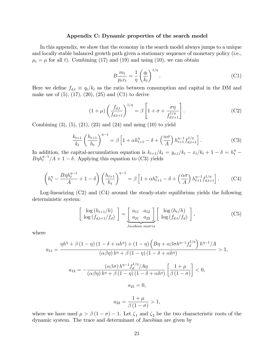### Appendix C: Dynamic properties of the search model

In this appendix, we show that the economy in the search model always jumps to a unique and locally stable balanced growth path given a stationary sequence of monetary policy (i.e.,  $\mu_t = \mu$  for all t). Combining (17) and (19) and using (10), we can obtain

$$
B\frac{m_t}{p_t x_t} = \frac{1}{\eta} \left(\frac{q_t}{k_t}\right)^{1/\eta}.
$$
 (C1)

Here we define  $f_{d,t} \equiv q_t/k_t$  as the ratio between consumption and capital in the DM and make use of  $(5)$ ,  $(17)$ ,  $(20)$ ,  $(25)$  and  $(C1)$  to derive

$$
(1+\mu)\left(\frac{f_{d,t}}{f_{d,t+1}}\right)^{1/\eta} = \beta \left[1+\sigma+\frac{\sigma\eta}{f_{d,t+1}^{1/\eta}}\right].
$$
 (C2)

Combining  $(3)$ ,  $(5)$ ,  $(21)$ ,  $(23)$  and  $(24)$  and using  $(10)$  to yield

 $\sqrt{ }$ 

$$
\frac{k_{t+1}}{k_t} \left(\frac{h_{t+1}}{h_t}\right)^{\eta-1} = \beta \left[1 + \alpha h_{t+1}^{\eta} - \delta + \left(\frac{\alpha \sigma}{A}\right) h_{t+1}^{\eta-1} f_{d,t+1}^{1/\eta}\right].
$$
 (C3)

In addition, the capital-accumulation equation is  $k_{t+1}/k_t = y_{x,t}/k_t - x_t/k_t + 1 - \delta = h_t^{\eta}$  $B\eta h_t^{\eta-1}/A + 1 - \delta$ . Applying this equation to (C3) yields

$$
\left(h_t^{\eta} - \frac{B\eta h_t^{\eta-1}}{A} + 1 - \delta\right) \left(\frac{h_{t+1}}{h_t}\right)^{\eta-1} = \beta \left[1 + \alpha h_{t+1}^{\eta} - \delta + \left(\frac{\alpha \sigma}{A}\right) h_{t+1}^{\eta-1} f_{d,t+1}^{1/\eta}\right].
$$
 (C4)

Log-linearizing (C2) and (C4) around the steady-state equilibrium yields the following deterministic system:

$$
\begin{bmatrix}\n\log\left(h_{t+1}/h\right) \\
\log\left(f_{d,t+1}/f_d\right)\n\end{bmatrix} = \underbrace{\begin{bmatrix} a_{11} & a_{12} \\ a_{21} & a_{22} \end{bmatrix}}_{Jacobian matrix} \begin{bmatrix} \log\left(h_t/h\right) \\ \log\left(f_{d,t}/f_d\right) \end{bmatrix},\n\tag{C5}
$$

where

$$
a_{11} = \frac{\eta h^{\eta} + \beta (1 - \eta) (1 - \delta + \alpha h^{\eta}) + (1 - \eta) \left( B\eta + \alpha \beta \sigma h^{\eta - 1} f_d^{1/\eta} \right) h^{\eta - 1}/A}{(\alpha \beta \eta) h^{\eta} + \beta (1 - \eta) (1 - \delta + \alpha h^{\eta})} > 1,
$$
  

$$
a_{12} = -\frac{(\alpha \beta \sigma) h^{\eta - 1} f_d^{1/\eta} / A\eta}{(\alpha \beta \eta) h^{\eta} + \beta (1 - \eta) (1 - \delta + \alpha h^{\eta})} \left[ \frac{1 + \mu}{\beta (1 - \sigma)} \right] < 0,
$$

$$
a_{21} = 0,
$$

$$
a_{22} = \frac{1 + \mu}{\beta (1 - \sigma)} > 1,
$$

where we have used  $\mu > \beta (1 - \sigma) - 1$ . Let  $\zeta_1$  and  $\zeta_2$  be the two characteristic roots of the dynamic system. The trace and determinant of Jacobian are given by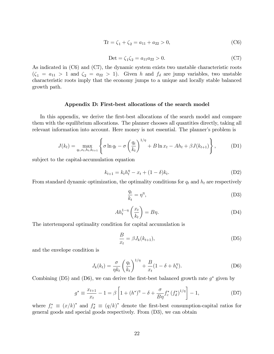$$
Tr = \zeta_1 + \zeta_2 = a_{11} + a_{22} > 0,
$$
\n(C6)

$$
Det = \zeta_1 \zeta_2 = a_{11} a_{22} > 0. \tag{C7}
$$

As indicated in (C6) and (C7), the dynamic system exists two unstable characteristic roots  $(\zeta_1 = a_{11} > 1$  and  $\zeta_2 = a_{22} > 1)$ . Given h and  $f_d$  are jump variables, two unstable characteristic roots imply that the economy jumps to a unique and locally stable balanced growth path.

#### Appendix D: First-best allocations of the search model

In this appendix, we derive the first-best allocations of the search model and compare them with the equilibrium allocations. The planner chooses all quantities directly, taking all relevant information into account. Here money is not essential. The planner's problem is

$$
J(k_t) = \max_{q_t, x_t, h_t, k_{t+1}} \left\{ \sigma \ln q_t - \sigma \left( \frac{q_t}{k_t} \right)^{1/\eta} + B \ln x_t - Ah_t + \beta J(k_{t+1}) \right\},\tag{D1}
$$

subject to the capital-accumulation equation

$$
k_{t+1} = k_t h_t^{\eta} - x_t + (1 - \delta) k_t.
$$
 (D2)

From standard dynamic optimization, the optimality conditions for  $q_t$  and  $h_t$  are respectively

$$
\frac{q_t}{k_t} = \eta^{\eta},\tag{D3}
$$

$$
Ah_t^{1-\eta} \left( \frac{x_t}{k_t} \right) = B\eta. \tag{D4}
$$

The intertemporal optimality condition for capital accumulation is

$$
\frac{B}{x_t} = \beta J_k(k_{t+1}),\tag{D5}
$$

and the envelope condition is

$$
J_k(k_t) = \frac{\sigma}{\eta k_t} \left(\frac{q_t}{k_t}\right)^{1/\eta} + \frac{B}{x_t} (1 - \delta + h_t^{\eta}).
$$
 (D6)

Combining (D5) and (D6), we can derive the first-best balanced growth rate  $g^*$  given by

$$
g^* \equiv \frac{x_{t+1}}{x_t} - 1 = \beta \left[ 1 + (h^*)^{\eta} - \delta + \frac{\sigma}{B\eta} f_c^* \left( f_d^* \right)^{1/\eta} \right] - 1, \tag{D7}
$$

where  $f_c^* \equiv (x/k)^*$  and  $f_d^* \equiv (q/k)^*$  denote the first-best consumption-capital ratios for general goods and special goods respectively. From (D3), we can obtain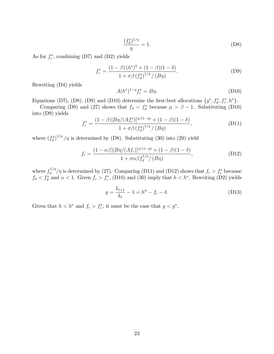$$
\frac{(f_d^*)^{1/\eta}}{\eta} = 1.
$$
\n(D8)

As for  $f_c^*$ , combining (D7) and (D2) yields

$$
f_c^* = \frac{(1 - \beta) (h^*)^{\eta} + (1 - \beta)(1 - \delta)}{1 + \sigma \beta (f_d^*)^{1/\eta} / (B\eta)}.
$$
 (D9)

Rewriting (D4) yields

$$
A(h^*)^{1-\eta}f_c^* = B\eta.
$$
 (D10)

Equations (D7), (D8), (D9) and (D10) determine the first-best allocations  $\{g^*, f_d^*, f_c^*, h^*\}$ .

Comparing (D8) and (27) shows that  $f_d < f_d^*$  because  $\mu > \beta - 1$ . Substituting (D10) into (D9) yields

$$
f_c^* = \frac{(1 - \beta)[B\eta/(Af_c^*)]^{\eta/(1-\eta)} + (1 - \beta)(1 - \delta)}{1 + \sigma\beta (f_d^*)^{1/\eta}/(B\eta)},
$$
(D11)

where  $(f_d^*)^{1/\eta}/\eta$  is determined by (D8). Substituting (30) into (29) yield

$$
f_c = \frac{(1 - \alpha \beta)[B\eta/(Af_c)]^{\eta/(1 - \eta)} + (1 - \beta)(1 - \delta)}{1 + \sigma \alpha \beta f_d^{1/\eta}/(B\eta)},
$$
(D12)

where  $f_d^{1/\eta}$  $\frac{d^{1/\eta}}{d}$  is determined by (27). Comparing (D11) and (D12) shows that  $f_c > f_c^*$  because  $f_d < f_d^*$  and  $\alpha < 1$ . Given  $f_c > f_c^*$ , (D10) and (30) imply that  $h < h^*$ . Rewriting (D2) yields

$$
g = \frac{k_{t+1}}{k_t} - 1 = h^{\eta} - f_c - \delta.
$$
 (D13)

Given that  $h < h^*$  and  $f_c > f_c^*$ , it must be the case that  $g < g^*$ .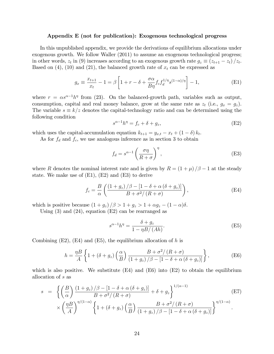#### Appendix E (not for publication): Exogenous technological progress

In this unpublished appendix, we provide the derivations of equilibrium allocations under exogenous growth. We follow Waller (2011) to assume an exogenous technological progress; in other words,  $z_t$  in (9) increases according to an exogenous growth rate  $g_z \equiv (z_{t+1} - z_t)/z_t$ . Based on (4), (10) and (21), the balanced growth rate of  $x_t$  can be expressed as

$$
g_x \equiv \frac{x_{t+1}}{x_t} - 1 = \beta \left[ 1 + r - \delta + \frac{\sigma \alpha}{B \eta} f_c f_d^{1/\eta} s^{(1-\alpha)/\eta} \right] - 1, \tag{E1}
$$

where  $r = \alpha s^{\alpha-1} h^{\eta}$  from (23). On the balanced-growth path, variables such as output, consumption, capital and real money balance, grow at the same rate as  $z_t$  (i.e.,  $g_x = g_z$ ). The variable  $s \equiv k/z$  denotes the capital-technology ratio and can be determined using the following condition

$$
s^{\alpha - 1}h^{\eta} = f_c + \delta + g_z,\tag{E2}
$$

which uses the capital-accumulation equation  $k_{t+1} = y_{x,t} - x_t + (1 - \delta) k_t$ .

As for  $f_d$  and  $f_c$ , we use analogous inference as in section 3 to obtain

$$
f_d = s^{\alpha - 1} \left( \frac{\sigma \eta}{R + \sigma} \right)^{\eta}, \tag{E3}
$$

where R denotes the nominal interest rate and is given by  $R = (1 + \mu)/\beta - 1$  at the steady state. We make use of  $(E1)$ ,  $(E2)$  and  $(E3)$  to derive

$$
f_c = \frac{B}{\alpha} \left( \frac{\left(1 + g_z\right)/\beta - \left[1 - \delta + \alpha \left(\delta + g_z\right)\right]}{B + \sigma^2/\left(R + \sigma\right)} \right),\tag{E4}
$$

which is positive because  $(1+g_z)/\beta > 1+g_z > 1+\alpha g_z - (1-\alpha)\delta$ .

Using  $(3)$  and  $(24)$ , equation  $(E2)$  can be rearranged as

$$
s^{\alpha - 1}h^{\eta} = \frac{\delta + g_z}{1 - \eta B/(Ah)}.
$$
 (E5)

Combining  $(E2)$ ,  $(E4)$  and  $(E5)$ , the equilibrium allocation of h is

$$
h = \frac{\eta B}{A} \left\{ 1 + (\delta + g_z) \left( \frac{\alpha}{B} \right) \frac{B + \sigma^2 / (R + \sigma)}{(1 + g_z) / \beta - [1 - \delta + \alpha (\delta + g_z)]} \right\},
$$
(E6)

which is also positive. We substitute  $(E4)$  and  $(E6)$  into  $(E2)$  to obtain the equilibrium allocation of s as

$$
s = \left\{ \left( \frac{B}{\alpha} \right) \frac{\left( 1 + g_z \right) / \beta - \left[ 1 - \delta + \alpha \left( \delta + g_z \right) \right]}{B + \sigma^2 / \left( R + \sigma \right)} + \delta + g_z \right\}^{1/(\alpha - 1)} \times \left( \frac{\eta B}{A} \right)^{\eta / (1 - \alpha)} \left\{ 1 + \left( \delta + g_z \right) \left( \frac{\alpha}{B} \right) \frac{B + \sigma^2 / \left( R + \sigma \right)}{\left( 1 + g_z \right) / \beta - \left[ 1 - \delta + \alpha \left( \delta + g_z \right) \right]} \right\}^{\eta / (1 - \alpha)}.
$$
\n(E7)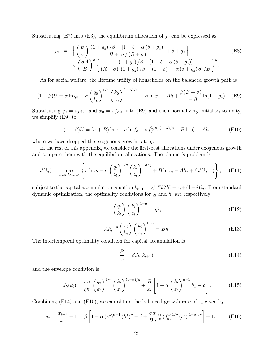Substituting (E7) into (E3), the equilibrium allocation of  $f_d$  can be expressed as

$$
f_d = \left\{ \left( \frac{B}{\alpha} \right) \frac{\left( 1 + g_z \right) / \beta - \left[ 1 - \delta + \alpha \left( \delta + g_z \right) \right]}{B + \sigma^2 / \left( R + \sigma \right)} + \delta + g_z \right\} \times \left( \frac{\sigma A}{B} \right)^{\eta} \left\{ \frac{\left( 1 + g_z \right) / \beta - \left[ 1 - \delta + \alpha \left( \delta + g_z \right) \right]}{\left( R + \sigma \right) \left[ \left( 1 + g_z \right) / \beta - \left( 1 - \delta \right) \right] + \alpha \left( \delta + g_z \right) \sigma^2 / B} \right\}^{\eta}.
$$
\n(E8)

As for social welfare, the lifetime utility of households on the balanced growth path is

$$
(1 - \beta)U = \sigma \ln q_0 - \sigma \left(\frac{q_0}{k_0}\right)^{1/\eta} \left(\frac{k_0}{z_0}\right)^{(1 - \alpha)/\eta} + B \ln x_0 - Ah + \frac{\beta(B + \sigma)}{1 - \beta} \ln(1 + g_z). \quad (E9)
$$

Substituting  $q_0 = s f_d z_0$  and  $x_0 = s f_c z_0$  into (E9) and then normalizing initial  $z_0$  to unity, we simplify (E9) to

$$
(1 - \beta)U = (\sigma + B)\ln s + \sigma \ln f_d - \sigma f_d^{1/\eta} s^{(1-\alpha)/\eta} + B \ln f_c - Ah,
$$
 (E10)

where we have dropped the exogenous growth rate  $g_z$ .

In the rest of this appendix, we consider the first-best allocations under exogenous growth and compare them with the equilibrium allocations. The planner's problem is

$$
J(k_t) = \max_{q_t, x_t, h_t, k_{t+1}} \left\{ \sigma \ln q_t - \sigma \left( \frac{q_t}{z_t} \right)^{1/\eta} \left( \frac{k_t}{z_t} \right)^{-\alpha/\eta} + B \ln x_t - Ah_t + \beta J(k_{t+1}) \right\}, \quad \text{(E11)}
$$

subject to the capital-accumulation equation  $k_{t+1} = z_t^{1-\alpha} k_t^{\alpha} h_t^{\eta} - x_t + (1-\delta) k_t$ . From standard dynamic optimization, the optimality conditions for  $q_t$  and  $h_t$  are respectively

$$
\left(\frac{q_t}{k_t}\right) \left(\frac{k_t}{z_t}\right)^{1-\alpha} = \eta^{\eta},\tag{E12}
$$

$$
Ah_t^{1-\eta} \left(\frac{x_t}{k_t}\right) \left(\frac{k_t}{z_t}\right)^{1-\alpha} = B\eta.
$$
 (E13)

The intertemporal optimality condition for capital accumulation is

$$
\frac{B}{x_t} = \beta J_k(k_{t+1}),\tag{E14}
$$

and the envelope condition is

$$
J_k(k_t) = \frac{\sigma \alpha}{\eta k_t} \left(\frac{q_t}{k_t}\right)^{1/\eta} \left(\frac{k_t}{z_t}\right)^{(1-\alpha)/\eta} + \frac{B}{x_t} \left[1 + \alpha \left(\frac{k_t}{z_t}\right)^{\alpha-1} h_t^{\eta} - \delta\right].
$$
 (E15)

Combining (E14) and (E15), we can obtain the balanced growth rate of  $x_t$  given by

$$
g_x = \frac{x_{t+1}}{x_t} - 1 = \beta \left[ 1 + \alpha \left( s^* \right)^{\alpha - 1} \left( h^* \right)^{\eta} - \delta + \frac{\sigma \alpha}{B \eta} f_c^* \left( f_d^* \right)^{1/\eta} \left( s^* \right)^{(1 - \alpha)/\eta} \right] - 1, \tag{E16}
$$